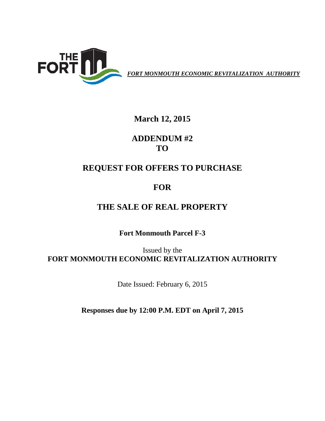

*FORT MONMOUTH ECONOMIC REVITALIZATION AUTHORITY*

## **March 12, 2015**

**ADDENDUM #2 TO**

## **REQUEST FOR OFFERS TO PURCHASE**

## **FOR**

# **THE SALE OF REAL PROPERTY**

**Fort Monmouth Parcel F-3**

Issued by the **FORT MONMOUTH ECONOMIC REVITALIZATION AUTHORITY**

Date Issued: February 6, 2015

**Responses due by 12:00 P.M. EDT on April 7, 2015**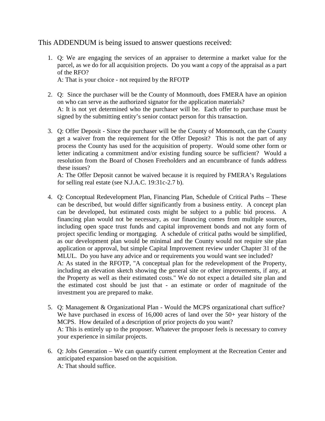### This ADDENDUM is being issued to answer questions received:

1. Q: We are engaging the services of an appraiser to determine a market value for the parcel, as we do for all acquisition projects. Do you want a copy of the appraisal as a part of the RFO?

A: That is your choice - not required by the RFOTP

- 2. Q: Since the purchaser will be the County of Monmouth, does FMERA have an opinion on who can serve as the authorized signator for the application materials? A: It is not yet determined who the purchaser will be. Each offer to purchase must be signed by the submitting entity's senior contact person for this transaction.
- 3. Q: Offer Deposit Since the purchaser will be the County of Monmouth, can the County get a waiver from the requirement for the Offer Deposit? This is not the part of any process the County has used for the acquisition of property. Would some other form or letter indicating a commitment and/or existing funding source be sufficient? Would a resolution from the Board of Chosen Freeholders and an encumbrance of funds address these issues?

A: The Offer Deposit cannot be waived because it is required by FMERA's Regulations for selling real estate (see N.J.A.C. 19:31c-2.7 b).

- 4. Q: Conceptual Redevelopment Plan, Financing Plan, Schedule of Critical Paths These can be described, but would differ significantly from a business entity. A concept plan can be developed, but estimated costs might be subject to a public bid process. A financing plan would not be necessary, as our financing comes from multiple sources, including open space trust funds and capital improvement bonds and not any form of project specific lending or mortgaging. A schedule of critical paths would be simplified, as our development plan would be minimal and the County would not require site plan application or approval, but simple Capital Improvement review under Chapter 31 of the MLUL. Do you have any advice and or requirements you would want see included? A: As stated in the RFOTP, "A conceptual plan for the redevelopment of the Property, including an elevation sketch showing the general site or other improvements, if any, at the Property as well as their estimated costs." We do not expect a detailed site plan and the estimated cost should be just that - an estimate or order of magnitude of the investment you are prepared to make.
- 5. Q: Management & Organizational Plan Would the MCPS organizational chart suffice? We have purchased in excess of 16,000 acres of land over the 50+ year history of the MCPS. How detailed of a description of prior projects do you want? A: This is entirely up to the proposer. Whatever the proposer feels is necessary to convey your experience in similar projects.
- 6. Q: Jobs Generation We can quantify current employment at the Recreation Center and anticipated expansion based on the acquisition. A: That should suffice.